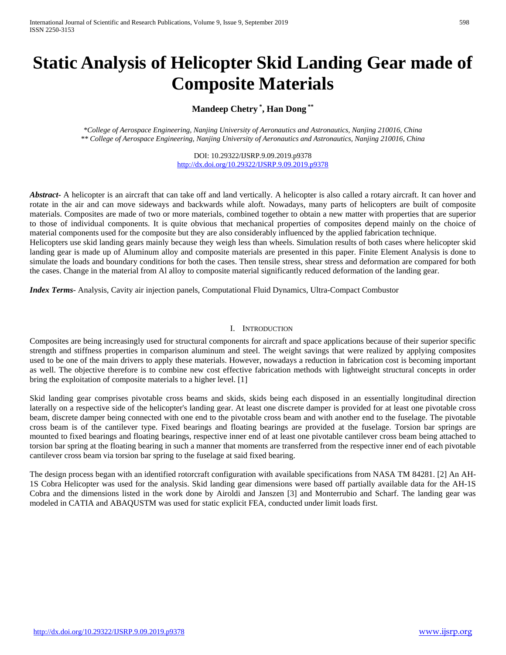# **Static Analysis of Helicopter Skid Landing Gear made of Composite Materials**

# **Mandeep Chetry \* , Han Dong \*\***

*\*College of Aerospace Engineering, Nanjing University of Aeronautics and Astronautics, Nanjing 210016, China \*\* College of Aerospace Engineering, Nanjing University of Aeronautics and Astronautics, Nanjing 210016, China*

> DOI: 10.29322/IJSRP.9.09.2019.p9378 <http://dx.doi.org/10.29322/IJSRP.9.09.2019.p9378>

**Abstract** A helicopter is an aircraft that can take off and land vertically. A helicopter is also called a rotary aircraft. It can hover and rotate in the air and can move sideways and backwards while aloft. Nowadays, many parts of helicopters are built of composite materials. Composites are made of two or more materials, combined together to obtain a new matter with properties that are superior to those of individual components. It is quite obvious that mechanical properties of composites depend mainly on the choice of material components used for the composite but they are also considerably influenced by the applied fabrication technique. Helicopters use skid landing gears mainly because they weigh less than wheels. Simulation results of both cases where helicopter skid

landing gear is made up of Aluminum alloy and composite materials are presented in this paper. Finite Element Analysis is done to simulate the loads and boundary conditions for both the cases. Then tensile stress, shear stress and deformation are compared for both the cases. Change in the material from Al alloy to composite material significantly reduced deformation of the landing gear.

*Index Terms*- Analysis, Cavity air injection panels, Computational Fluid Dynamics, Ultra-Compact Combustor

#### I. INTRODUCTION

Composites are being increasingly used for structural components for aircraft and space applications because of their superior specific strength and stiffness properties in comparison aluminum and steel. The weight savings that were realized by applying composites used to be one of the main drivers to apply these materials. However, nowadays a reduction in fabrication cost is becoming important as well. The objective therefore is to combine new cost effective fabrication methods with lightweight structural concepts in order bring the exploitation of composite materials to a higher level. [1]

Skid landing gear comprises pivotable cross beams and skids, skids being each disposed in an essentially longitudinal direction laterally on a respective side of the helicopter's landing gear. At least one discrete damper is provided for at least one pivotable cross beam, discrete damper being connected with one end to the pivotable cross beam and with another end to the fuselage. The pivotable cross beam is of the cantilever type. Fixed bearings and floating bearings are provided at the fuselage. Torsion bar springs are mounted to fixed bearings and floating bearings, respective inner end of at least one pivotable cantilever cross beam being attached to torsion bar spring at the floating bearing in such a manner that moments are transferred from the respective inner end of each pivotable cantilever cross beam via torsion bar spring to the fuselage at said fixed bearing.

The design process began with an identified rotorcraft configuration with available specifications from NASA TM 84281. [2] An AH-1S Cobra Helicopter was used for the analysis. Skid landing gear dimensions were based off partially available data for the AH-1S Cobra and the dimensions listed in the work done by Airoldi and Janszen [3] and Monterrubio and Scharf. The landing gear was modeled in CATIA and ABAQUSTM was used for static explicit FEA, conducted under limit loads first.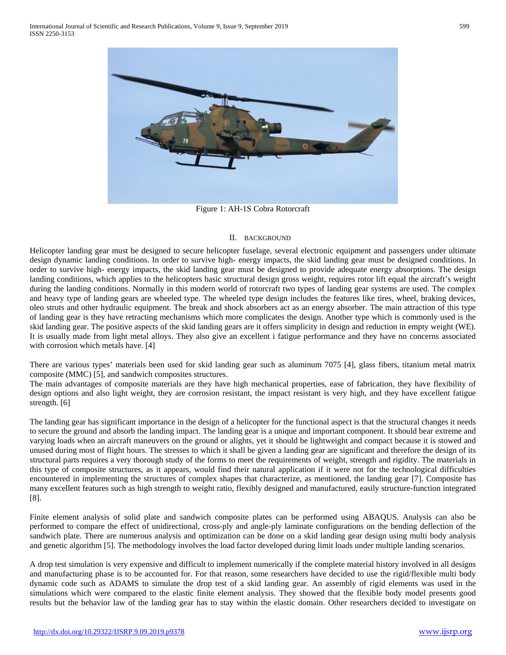

Figure 1: AH-1S Cobra Rotorcraft

#### II. BACKGROUND

Helicopter landing gear must be designed to secure helicopter fuselage, several electronic equipment and passengers under ultimate design dynamic landing conditions. In order to survive high- energy impacts, the skid landing gear must be designed conditions. In order to survive high- energy impacts, the skid landing gear must be designed to provide adequate energy absorptions. The design landing conditions, which applies to the helicopters basic structural design gross weight, requires rotor lift equal the aircraft's weight during the landing conditions. Normally in this modern world of rotorcraft two types of landing gear systems are used. The complex and heavy type of landing gears are wheeled type. The wheeled type design includes the features like tires, wheel, braking devices, oleo struts and other hydraulic equipment. The break and shock absorbers act as an energy absorber. The main attraction of this type of landing gear is they have retracting mechanisms which more complicates the design. Another type which is commonly used is the skid landing gear. The positive aspects of the skid landing gears are it offers simplicity in design and reduction in empty weight (WE). It is usually made from light metal alloys. They also give an excellent i fatigue performance and they have no concerns associated with corrosion which metals have. [4]

There are various types' materials been used for skid landing gear such as aluminum 7075 [4], glass fibers, titanium metal matrix composite (MMC) [5], and sandwich composites structures.

The main advantages of composite materials are they have high mechanical properties, ease of fabrication, they have flexibility of design options and also light weight, they are corrosion resistant, the impact resistant is very high, and they have excellent fatigue strength. [6]

The landing gear has significant importance in the design of a helicopter for the functional aspect is that the structural changes it needs to secure the ground and absorb the landing impact. The landing gear is a unique and important component. It should bear extreme and varying loads when an aircraft maneuvers on the ground or alights, yet it should be lightweight and compact because it is stowed and unused during most of flight hours. The stresses to which it shall be given a landing gear are significant and therefore the design of its structural parts requires a very thorough study of the forms to meet the requirements of weight, strength and rigidity. The materials in this type of composite structures, as it appears, would find their natural application if it were not for the technological difficulties encountered in implementing the structures of complex shapes that characterize, as mentioned, the landing gear [7]. Composite has many excellent features such as high strength to weight ratio, flexibly designed and manufactured, easily structure-function integrated [8].

Finite element analysis of solid plate and sandwich composite plates can be performed using ABAQUS. Analysis can also be performed to compare the effect of unidirectional, cross-ply and angle-ply laminate configurations on the bending deflection of the sandwich plate. There are numerous analysis and optimization can be done on a skid landing gear design using multi body analysis and genetic algorithm [5]. The methodology involves the load factor developed during limit loads under multiple landing scenarios.

A drop test simulation is very expensive and difficult to implement numerically if the complete material history involved in all designs and manufacturing phase is to be accounted for. For that reason, some researchers have decided to use the rigid/flexible multi body dynamic code such as ADAMS to simulate the drop test of a skid landing gear. An assembly of rigid elements was used in the simulations which were compared to the elastic finite element analysis. They showed that the flexible body model presents good results but the behavior law of the landing gear has to stay within the elastic domain. Other researchers decided to investigate on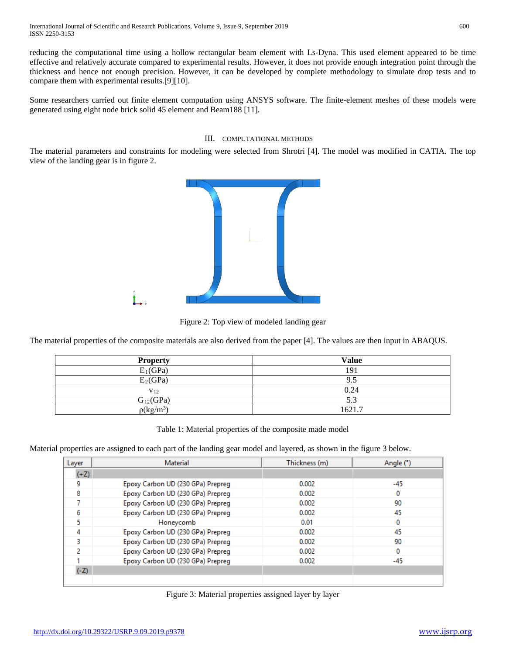reducing the computational time using a hollow rectangular beam element with Ls-Dyna. This used element appeared to be time effective and relatively accurate compared to experimental results. However, it does not provide enough integration point through the thickness and hence not enough precision. However, it can be developed by complete methodology to simulate drop tests and to compare them with experimental results.[9][10].

Some researchers carried out finite element computation using ANSYS software. The finite-element meshes of these models were generated using eight node brick solid 45 element and Beam188 [11].

#### III. COMPUTATIONAL METHODS

The material parameters and constraints for modeling were selected from Shrotri [4]. The model was modified in CATIA. The top view of the landing gear is in figure 2.



Figure 2: Top view of modeled landing gear

The material properties of the composite materials are also derived from the paper [4]. The values are then input in ABAQUS.

| <b>Property</b>       | Value  |
|-----------------------|--------|
| $E_1(GPa)$            | 191    |
| $E_2$ (GPa)           | 9.5    |
| V <sub>12</sub>       | 0.24   |
| $G_{12}(GPa)$         | 5.3    |
| $\rho(\text{kg/m}^3)$ | 1621.7 |

Table 1: Material properties of the composite made model

Material properties are assigned to each part of the landing gear model and layered, as shown in the figure 3 below.

| Layer  | Material                          | Thickness (m) | Angle (°) |  |
|--------|-----------------------------------|---------------|-----------|--|
| $(+Z)$ |                                   |               |           |  |
| 9      | Epoxy Carbon UD (230 GPa) Prepreg | 0.002         | -45       |  |
| 8      | Epoxy Carbon UD (230 GPa) Prepreg | 0.002         | 0         |  |
|        | Epoxy Carbon UD (230 GPa) Prepreg | 0.002         | 90        |  |
| 6      | Epoxy Carbon UD (230 GPa) Prepreg | 0.002         | 45        |  |
| 5      | Honeycomb                         | 0.01          | 0         |  |
| 4      | Epoxy Carbon UD (230 GPa) Prepreg | 0.002         | 45        |  |
| 3.     | Epoxy Carbon UD (230 GPa) Prepreg | 0.002         | 90        |  |
| 2      | Epoxy Carbon UD (230 GPa) Prepreg | 0.002         | 0         |  |
|        | Epoxy Carbon UD (230 GPa) Prepreg | 0.002         | -45       |  |
| $(-Z)$ |                                   |               |           |  |
|        |                                   |               |           |  |

| Figure 3: Material properties assigned layer by layer |  |  |  |  |
|-------------------------------------------------------|--|--|--|--|
|-------------------------------------------------------|--|--|--|--|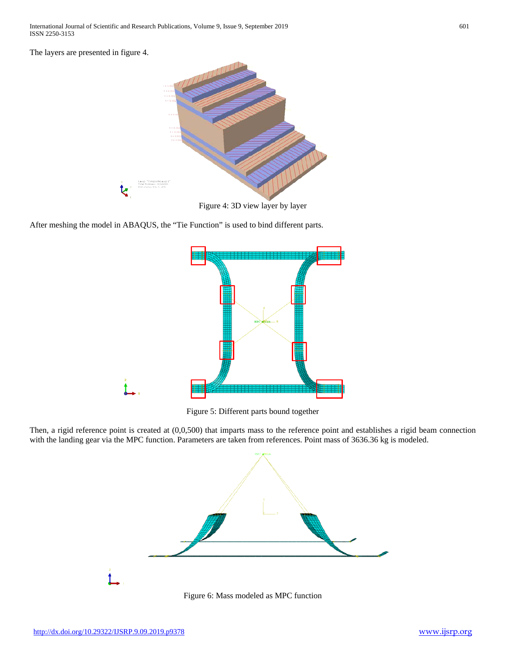The layers are presented in figure 4.



Figure 4: 3D view layer by layer

After meshing the model in ABAQUS, the "Tie Function" is used to bind different parts.



Figure 5: Different parts bound together

Then, a rigid reference point is created at (0,0,500) that imparts mass to the reference point and establishes a rigid beam connection with the landing gear via the MPC function. Parameters are taken from references. Point mass of 3636.36 kg is modeled.



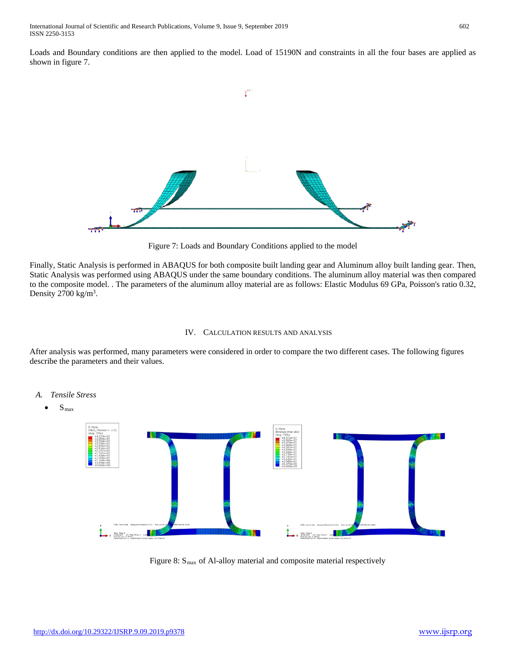Loads and Boundary conditions are then applied to the model. Load of 15190N and constraints in all the four bases are applied as shown in figure 7.



Figure 7: Loads and Boundary Conditions applied to the model

Finally, Static Analysis is performed in ABAQUS for both composite built landing gear and Aluminum alloy built landing gear. Then, Static Analysis was performed using ABAQUS under the same boundary conditions. The aluminum alloy material was then compared to the composite model. . The parameters of the aluminum alloy material are as follows: Elastic Modulus 69 GPa, Poisson's ratio 0.32, Density  $2700 \text{ kg/m}^3$ .

### IV. CALCULATION RESULTS AND ANALYSIS

After analysis was performed, many parameters were considered in order to compare the two different cases. The following figures describe the parameters and their values.



Figure 8:  $S<sub>max</sub>$  of Al-alloy material and composite material respectively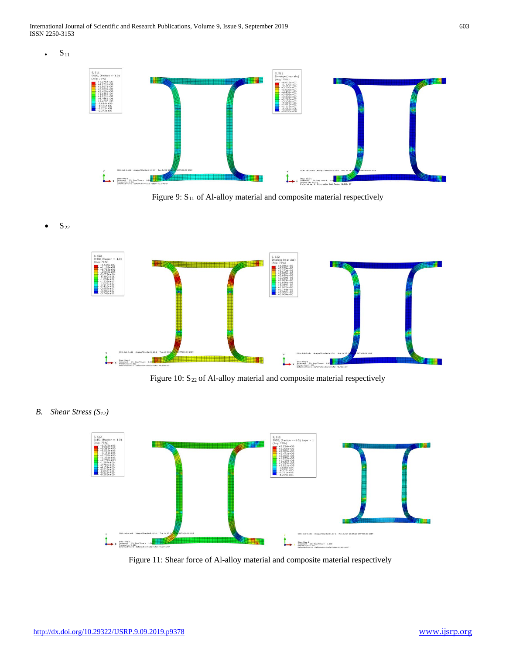International Journal of Scientific and Research Publications, Volume 9, Issue 9, September 2019 603 ISSN 2250-3153

 ${\bf S}_{11}$ 



Figure 9: S<sub>11</sub> of Al-alloy material and composite material respectively

• S22



Figure 10:  $S_{22}$  of Al-alloy material and composite material respectively

*B. Shear Stress (S12)*



Figure 11: Shear force of Al-alloy material and composite material respectively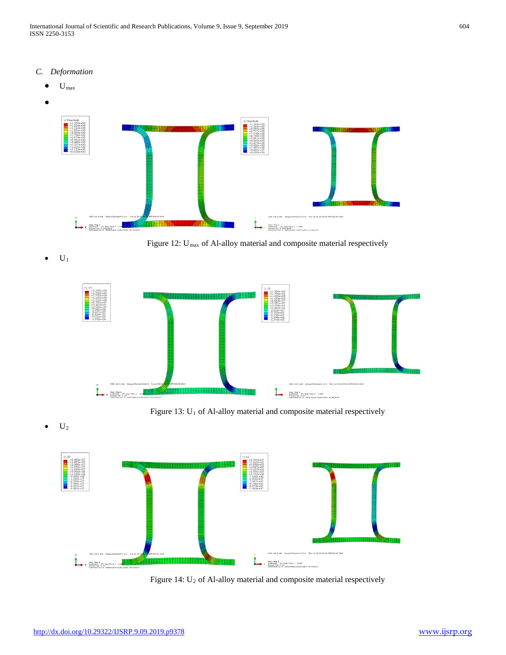- *C. Deformation*
	- $\mathbf{U}_{\text{max}}$



 $\bullet$   $\quad$  U<sub>1</sub>



Figure 13: U<sub>1</sub> of Al-alloy material and composite material respectively

 $U_2$ 



Figure 14: U<sub>2</sub> of Al-alloy material and composite material respectively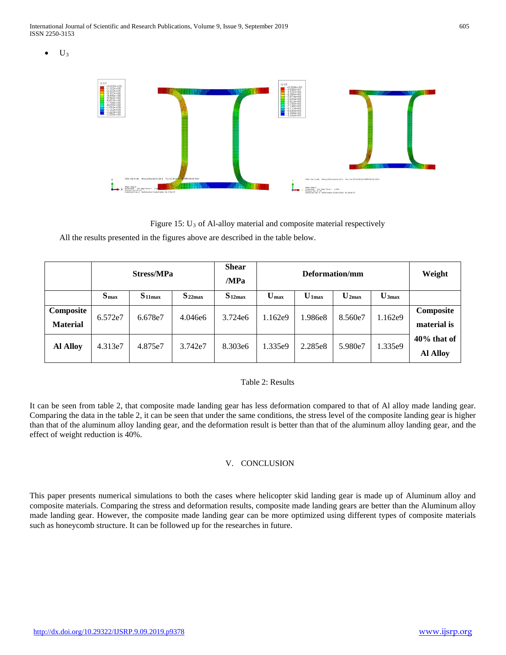$U_3$ 



Figure 15: U3 of Al-alloy material and composite material respectively

All the results presented in the figures above are described in the table below.

|                              | <b>Stress/MPa</b> |             |             | <b>Shear</b><br>/MPa | Deformation/mm            |          |                              |                   | Weight                            |
|------------------------------|-------------------|-------------|-------------|----------------------|---------------------------|----------|------------------------------|-------------------|-----------------------------------|
|                              | S <sub>max</sub>  | $S_{11max}$ | $S_{22max}$ | $S_{12max}$          | $\mathbf{U}_{\text{max}}$ | $U$ 1max | $\mathbf{U}_{2\mathbf{max}}$ | $\mathbf{U}$ 3max |                                   |
| Composite<br><b>Material</b> | 6.572e7           | 6.678e7     | 4.046e6     | 3.724e6              | 1.162e9                   | 1.986e8  | 8.560e7                      | 1.162e9           | Composite<br>material is          |
| <b>Al Alloy</b>              | 4.313e7           | 4.875e7     | 3.742e7     | 8.303e6              | 1.335e9                   | 2.285e8  | 5.980e7                      | 1.335e9           | $40\%$ that of<br><b>Al Alloy</b> |

#### Table 2: Results

It can be seen from table 2, that composite made landing gear has less deformation compared to that of Al alloy made landing gear. Comparing the data in the table 2, it can be seen that under the same conditions, the stress level of the composite landing gear is higher than that of the aluminum alloy landing gear, and the deformation result is better than that of the aluminum alloy landing gear, and the effect of weight reduction is 40%.

# V. CONCLUSION

This paper presents numerical simulations to both the cases where helicopter skid landing gear is made up of Aluminum alloy and composite materials. Comparing the stress and deformation results, composite made landing gears are better than the Aluminum alloy made landing gear. However, the composite made landing gear can be more optimized using different types of composite materials such as honeycomb structure. It can be followed up for the researches in future.